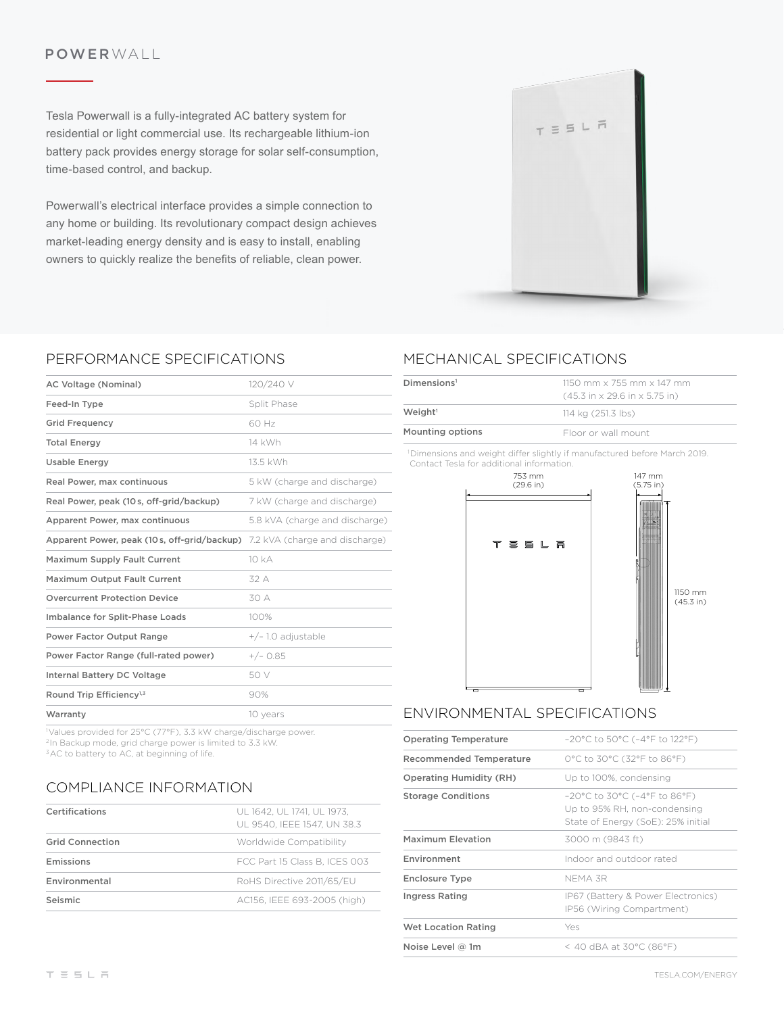### POWERWALL

Tesla Powerwall is a fully-integrated AC battery system for residential or light commercial use. Its rechargeable lithium-ion battery pack provides energy storage for solar self-consumption, time-based control, and backup.

Powerwall's electrical interface provides a simple connection to any home or building. Its revolutionary compact design achieves market-leading energy density and is easy to install, enabling owners to quickly realize the benefts of reliable, clean power.



### PERFORMANCE SPECIFICATIONS

| AC Voltage (Nominal)                        | 120/240 V                      |
|---------------------------------------------|--------------------------------|
| Feed-In Type                                | Split Phase                    |
| <b>Grid Frequency</b>                       | 60 Hz                          |
| <b>Total Energy</b>                         | 14 kWh                         |
| <b>Usable Energy</b>                        | 13.5 kWh                       |
| Real Power, max continuous                  | 5 kW (charge and discharge)    |
| Real Power, peak (10s, off-grid/backup)     | 7 kW (charge and discharge)    |
| Apparent Power, max continuous              | 5.8 kVA (charge and discharge) |
| Apparent Power, peak (10s, off-grid/backup) | 7.2 kVA (charge and discharge) |
| <b>Maximum Supply Fault Current</b>         | 10 kA                          |
| <b>Maximum Output Fault Current</b>         | 32 A                           |
| <b>Overcurrent Protection Device</b>        | 30 A                           |
| Imbalance for Split-Phase Loads             | 100%                           |
| <b>Power Factor Output Range</b>            | $+/- 1.0$ adjustable           |
| Power Factor Range (full-rated power)       | $+/- 0.85$                     |
| <b>Internal Battery DC Voltage</b>          | 50 V                           |
| Round Trip Efficiency <sup>1,3</sup>        | 90%                            |
| Warranty                                    | 10 years                       |

1 Values provided for 25°C (77°F), 3.3 kW charge/discharge power. 2In Backup mode, grid charge power is limited to 3.3 kW. <sup>3</sup>AC to battery to AC, at beginning of life.

## COMPLIANCE INFORMATION

| Certifications         | UL 1642. UL 1741. UL 1973.<br>UL 9540. IEEE 1547. UN 38.3 |
|------------------------|-----------------------------------------------------------|
| <b>Grid Connection</b> | Worldwide Compatibility                                   |
| Emissions              | FCC Part 15 Class B. ICES 003                             |
| Environmental          | RoHS Directive 2011/65/EU                                 |
| Seismic                | AC156, IEEE 693-2005 (high)                               |

# MECHANICAL SPECIFICATIONS

| Dimensions <sup>1</sup> | $1150$ mm x 755 mm x 147 mm<br>$(45.3 \text{ in} \times 29.6 \text{ in} \times 5.75 \text{ in})$ |
|-------------------------|--------------------------------------------------------------------------------------------------|
| Weight <sup>1</sup>     | 114 kg (251.3 lbs)                                                                               |
| Mounting options        | Floor or wall mount                                                                              |

1 Dimensions and weight difer slightly if manufactured before March 2019. Contact Tesla for additional information.



## ENVIRONMENTAL SPECIFICATIONS

| <b>Operating Temperature</b>   | $-20^{\circ}$ C to 50 $^{\circ}$ C ( $-4^{\circ}$ F to 122 $^{\circ}$ F)                                                                      |
|--------------------------------|-----------------------------------------------------------------------------------------------------------------------------------------------|
| Recommended Temperature        | 0°C to 30°C (32°F to 86°F)                                                                                                                    |
| <b>Operating Humidity (RH)</b> | Up to 100%, condensing                                                                                                                        |
| <b>Storage Conditions</b>      | $-20^{\circ}$ C to 30 $^{\circ}$ C (-4 $^{\circ}$ F to 86 $^{\circ}$ F)<br>Up to 95% RH, non-condensing<br>State of Energy (SoE): 25% initial |
| Maximum Elevation              | 3000 m (9843 ft)                                                                                                                              |
| Environment                    | Indoor and outdoor rated                                                                                                                      |
| <b>Enclosure Type</b>          | NFMA 3R                                                                                                                                       |
| <b>Ingress Rating</b>          | IP67 (Battery & Power Electronics)<br>IP56 (Wiring Compartment)                                                                               |
| <b>Wet Location Rating</b>     | Yes                                                                                                                                           |
| Noise Level $@$ 1m             | < 40 dBA at 30 $^{\circ}$ C (86 $^{\circ}$ F)                                                                                                 |